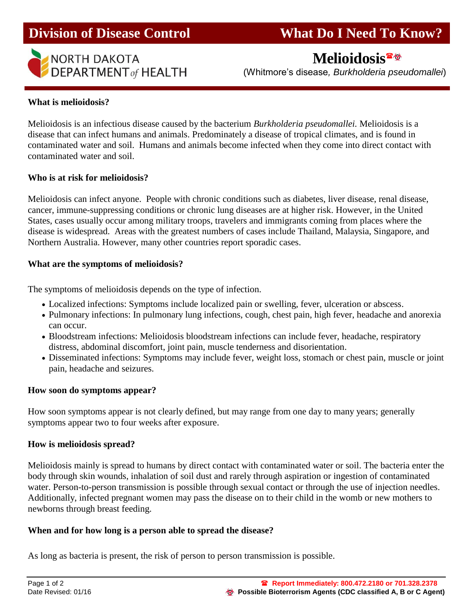

## **Division of Disease Control What Do I Need To Know?**

# **Melioidosis**

(Whitmore's disease*, Burkholderia pseudomallei*)

#### **What is melioidosis?**

Melioidosis is an infectious disease caused by the bacterium *Burkholderia pseudomallei.* Melioidosis is a disease that can infect humans and animals. Predominately a disease of tropical climates, and is found in contaminated water and soil. Humans and animals become infected when they come into direct contact with contaminated water and soil.

#### **Who is at risk for melioidosis?**

Melioidosis can infect anyone. People with chronic conditions such as diabetes, liver disease, renal disease, cancer, immune-suppressing conditions or chronic lung diseases are at higher risk. However, in the United States, cases usually occur among military troops, travelers and immigrants coming from places where the disease is widespread. Areas with the greatest numbers of cases include Thailand, Malaysia, Singapore, and Northern Australia. However, many other countries report sporadic cases.

#### **What are the symptoms of melioidosis?**

The symptoms of melioidosis depends on the type of infection.

- Localized infections: Symptoms include localized pain or swelling, fever, ulceration or abscess.
- Pulmonary infections: In pulmonary lung infections, cough, chest pain, high fever, headache and anorexia can occur.
- Bloodstream infections: Melioidosis bloodstream infections can include fever, headache, respiratory distress, abdominal discomfort, joint pain, muscle tenderness and disorientation.
- Disseminated infections: Symptoms may include fever, weight loss, stomach or chest pain, muscle or joint pain, headache and seizures.

#### **How soon do symptoms appear?**

How soon symptoms appear is not clearly defined, but may range from one day to many years; generally symptoms appear two to four weeks after exposure.

#### **How is melioidosis spread?**

Melioidosis mainly is spread to humans by direct contact with contaminated water or soil. The bacteria enter the body through skin wounds, inhalation of soil dust and rarely through aspiration or ingestion of contaminated water. Person-to-person transmission is possible through sexual contact or through the use of injection needles. Additionally, infected pregnant women may pass the disease on to their child in the womb or new mothers to newborns through breast feeding.

### **When and for how long is a person able to spread the disease?**

As long as bacteria is present, the risk of person to person transmission is possible.